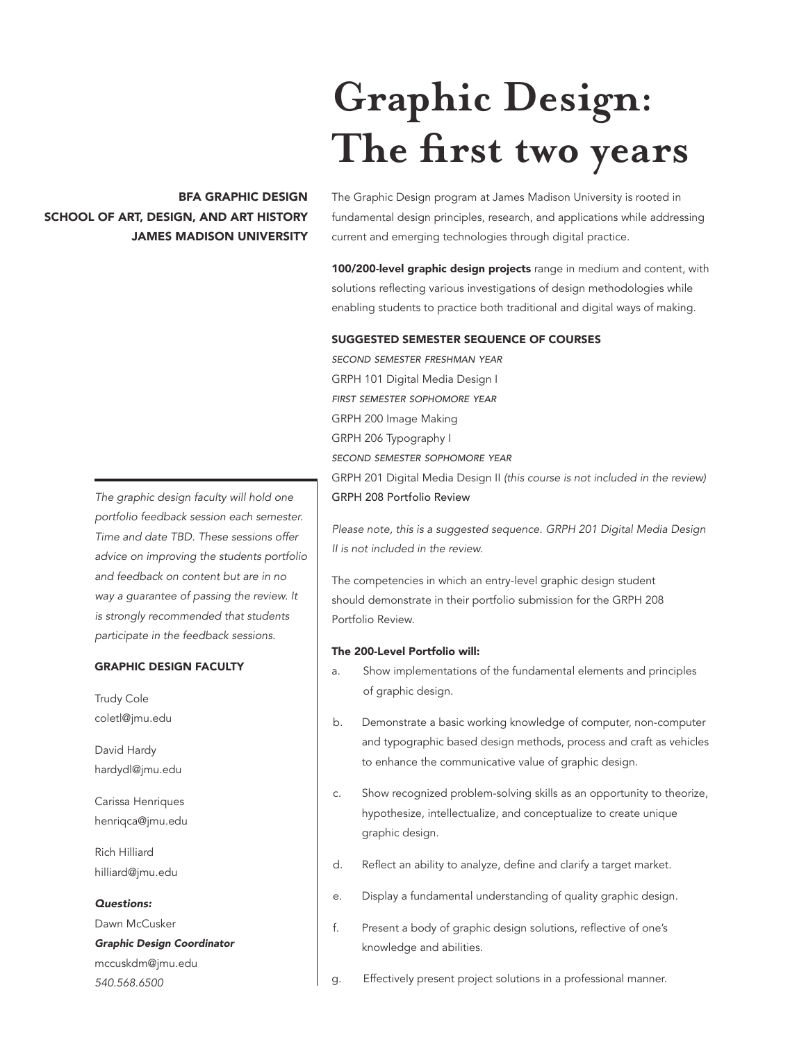# **Graphic Design: The first two years**

# BFA GRAPHIC DESIGN SCHOOL OF ART, DESIGN, AND ART HISTORY JAMES MADISON UNIVERSITY

The Graphic Design program at James Madison University is rooted in fundamental design principles, research, and applications while addressing current and emerging technologies through digital practice.

100/200-level graphic design projects range in medium and content, with solutions reflecting various investigations of design methodologies while enabling students to practice both traditional and digital ways of making.

#### SUGGESTED SEMESTER SEQUENCE OF COURSES

*second semester freshman year* GRPH 101 Digital Media Design I *first semester sophomore year* GRPH 200 Image Making GRPH 206 Typography I *second semester sophomore year* GRPH 201 Digital Media Design II *(this course is not included in the review)* GRPH 208 Portfolio Review

*Please note, this is a suggested sequence. GRPH 201 Digital Media Design II is not included in the review.*

The competencies in which an entry-level graphic design student should demonstrate in their portfolio submission for the GRPH 208 Portfolio Review.

# The 200-Level Portfolio will:

- a. Show implementations of the fundamental elements and principles of graphic design.
- b. Demonstrate a basic working knowledge of computer, non-computer and typographic based design methods, process and craft as vehicles to enhance the communicative value of graphic design.
- c. Show recognized problem-solving skills as an opportunity to theorize, hypothesize, intellectualize, and conceptualize to create unique graphic design.
- d. Reflect an ability to analyze, define and clarify a target market.
- e. Display a fundamental understanding of quality graphic design.
- f. Present a body of graphic design solutions, reflective of one's knowledge and abilities.
- g. Effectively present project solutions in a professional manner.

*The graphic design faculty will hold one portfolio feedback session each semester. Time and date TBD. These sessions offer advice on improving the students portfolio and feedback on content but are in no way a guarantee of passing the review. It is strongly recommended that students participate in the feedback sessions.*

# GRAPHIC DESIGN FACULTY

Trudy Cole coletl@jmu.edu

David Hardy hardydl@jmu.edu

Carissa Henriques henriqca@jmu.edu

Rich Hilliard hilliard@jmu.edu

# *Questions:*

Dawn McCusker

*Graphic Design Coordinator* mccuskdm@jmu.edu *540.568.6500*